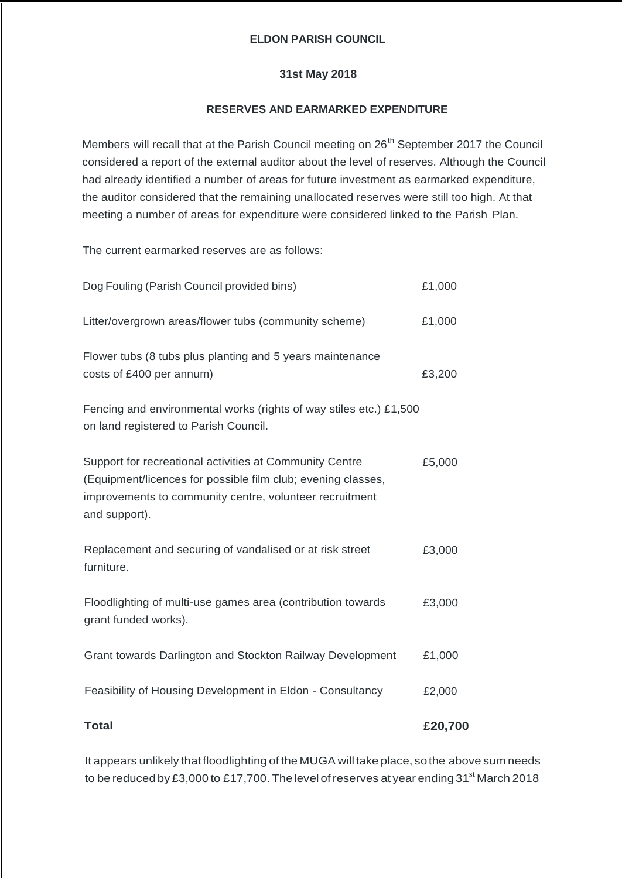## **ELDON PARISH COUNCIL**

## **31st May 2018**

## **RESERVES AND EARMARKED EXPENDITURE**

Members will recall that at the Parish Council meeting on 26<sup>th</sup> September 2017 the Council considered a report of the external auditor about the level of reserves. Although the Council had already identified a number of areas for future investment as earmarked expenditure, the auditor considered that the remaining unallocated reserves were still too high. At that meeting a number of areas for expenditure were considered linked to the Parish Plan.

The current earmarked reserves are as follows:

| <b>Total</b>                                                                                                                                                                                        | £20,700 |
|-----------------------------------------------------------------------------------------------------------------------------------------------------------------------------------------------------|---------|
| Feasibility of Housing Development in Eldon - Consultancy                                                                                                                                           | £2,000  |
| Grant towards Darlington and Stockton Railway Development                                                                                                                                           | £1,000  |
| Floodlighting of multi-use games area (contribution towards<br>grant funded works).                                                                                                                 | £3,000  |
| Replacement and securing of vandalised or at risk street<br>furniture.                                                                                                                              | £3,000  |
| Support for recreational activities at Community Centre<br>(Equipment/licences for possible film club; evening classes,<br>improvements to community centre, volunteer recruitment<br>and support). | £5,000  |
| Fencing and environmental works (rights of way stiles etc.) £1,500<br>on land registered to Parish Council.                                                                                         |         |
| Flower tubs (8 tubs plus planting and 5 years maintenance<br>costs of £400 per annum)                                                                                                               | £3,200  |
| Litter/overgrown areas/flower tubs (community scheme)                                                                                                                                               | £1,000  |
| Dog Fouling (Parish Council provided bins)                                                                                                                                                          | £1,000  |

It appears unlikely that floodlighting of the MUGA willtake place, so the above sum needs to be reduced by £3,000 to £17,700. The level of reserves at year ending 31 $\mathrm{^{st}}$  March 2018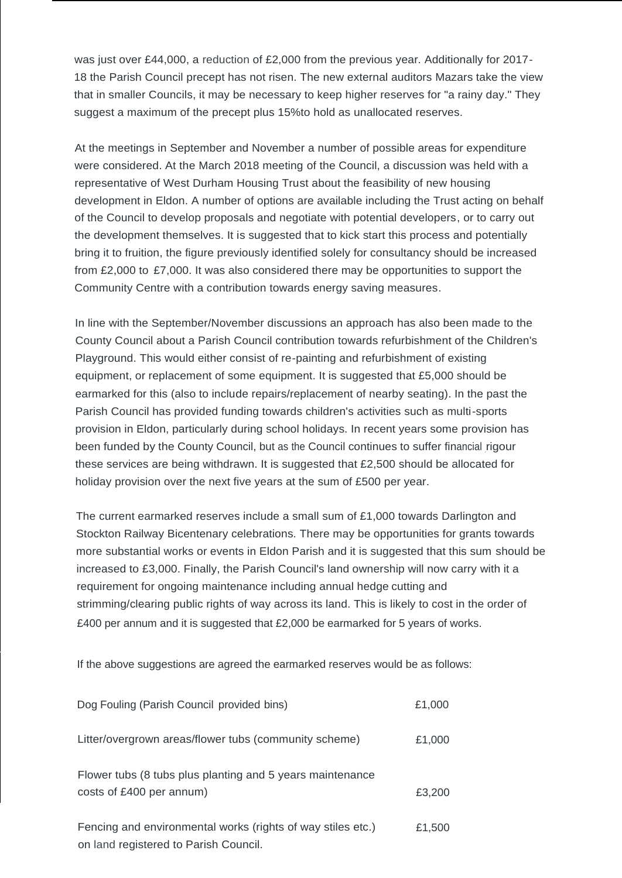was just over £44,000, a reduction of £2,000 from the previous year. Additionally for 2017- 18 the Parish Council precept has not risen. The new external auditors Mazars take the view that in smaller Councils, it may be necessary to keep higher reserves for "a rainy day." They suggest a maximum of the precept plus 15%to hold as unallocated reserves.

At the meetings in September and November a number of possible areas for expenditure were considered. At the March 2018 meeting of the Council, a discussion was held with a representative of West Durham Housing Trust about the feasibility of new housing development in Eldon. A number of options are available including the Trust acting on behalf of the Council to develop proposals and negotiate with potential developers, or to carry out the development themselves. It is suggested that to kick start this process and potentially bring it to fruition, the figure previously identified solely for consultancy should be increased from £2,000 to £7,000. It was also considered there may be opportunities to support the Community Centre with a contribution towards energy saving measures.

In line with the September/November discussions an approach has also been made to the County Council about a Parish Council contribution towards refurbishment of the Children's Playground. This would either consist of re-painting and refurbishment of existing equipment, or replacement of some equipment. It is suggested that £5,000 should be earmarked for this (also to include repairs/replacement of nearby seating). In the past the Parish Council has provided funding towards children's activities such as multi-sports provision in Eldon, particularly during school holidays. In recent years some provision has been funded by the County Council, but as the Council continues to suffer financial rigour these services are being withdrawn. It is suggested that £2,500 should be allocated for holiday provision over the next five years at the sum of £500 per year.

The current earmarked reserves include a small sum of £1,000 towards Darlington and Stockton Railway Bicentenary celebrations. There may be opportunities for grants towards more substantial works or events in Eldon Parish and it is suggested that this sum should be increased to £3,000. Finally, the Parish Council's land ownership will now carry with it a requirement for ongoing maintenance including annual hedge cutting and strimming/clearing public rights of way across its land. This is likely to cost in the order of £400 per annum and it is suggested that  $£2,000$  be earmarked for 5 years of works.

If the above suggestions are agreed the earmarked reserves would be as follows:

| Dog Fouling (Parish Council provided bins)                                                           | £1,000 |
|------------------------------------------------------------------------------------------------------|--------|
| Litter/overgrown areas/flower tubs (community scheme)                                                | £1,000 |
| Flower tubs (8 tubs plus planting and 5 years maintenance<br>costs of £400 per annum)                | £3,200 |
| Fencing and environmental works (rights of way stiles etc.)<br>on land registered to Parish Council. | £1,500 |